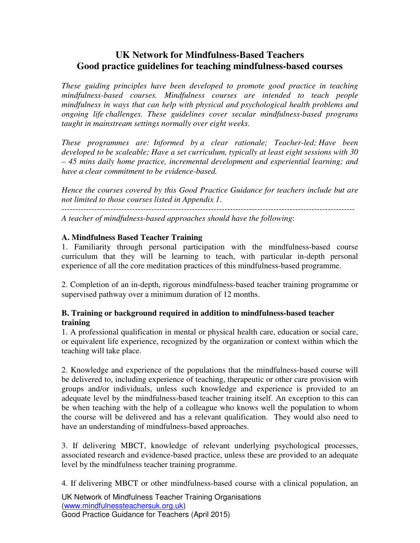# **UK Network for Mindfulness-Based Teachers Good practice guidelines for teaching mindfulness-based courses**

*These guiding principles have been developed to promote good practice in teaching mindfulness-based courses. Mindfulness courses are intended to teach people mindfulness in ways that can help with physical and psychological health problems and ongoing life challenges. These guidelines cover secular mindfulness-based programs taught in mainstream settings normally over eight weeks.*

*These programmes are: Informed by a clear rationale; Teacher-led; Have been developed to be scaleable; Have a set curriculum, typically at least eight sessions with 30 – 45 mins daily home practice, incremental development and experiential learning; and have a clear commitment to be evidence-based.*

*Hence the courses covered by this Good Practice Guidance for teachers include but are not limited to those courses listed in Appendix 1.* 

*------------------------------------------------------------------------------------------------------------* 

*A teacher of mindfulness-based approaches should have the following*:

## **A. Mindfulness Based Teacher Training**

1. Familiarity through personal participation with the mindfulness-based course curriculum that they will be learning to teach, with particular in-depth personal experience of all the core meditation practices of this mindfulness-based programme.

2. Completion of an in-depth, rigorous mindfulness-based teacher training programme or supervised pathway over a minimum duration of 12 months.

#### **B. Training or background required in addition to mindfulness-based teacher training**

1. A professional qualification in mental or physical health care, education or social care, or equivalent life experience, recognized by the organization or context within which the teaching will take place.

2. Knowledge and experience of the populations that the mindfulness-based course will be delivered to, including experience of teaching, therapeutic or other care provision with groups and/or individuals, unless such knowledge and experience is provided to an adequate level by the mindfulness-based teacher training itself. An exception to this can be when teaching with the help of a colleague who knows well the population to whom the course will be delivered and has a relevant qualification. They would also need to have an understanding of mindfulness-based approaches.

3. If delivering MBCT, knowledge of relevant underlying psychological processes, associated research and evidence-based practice, unless these are provided to an adequate level by the mindfulness teacher training programme.

4. If delivering MBCT or other mindfulness-based course with a clinical population, an

UK Network of Mindfulness Teacher Training Organisations (www.mindfulnessteachersuk.org.uk) Good Practice Guidance for Teachers (April 2015)